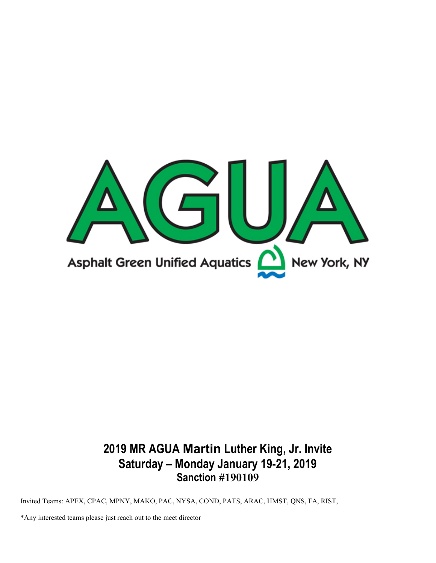

# 2019 MR AGUA Martin Luther King, Jr. Invite Saturday – Monday January 19-21, 2019 Sanction #190109

Invited Teams: APEX, CPAC, MPNY, MAKO, PAC, NYSA, COND, PATS, ARAC, HMST, QNS, FA, RIST,

\*Any interested teams please just reach out to the meet director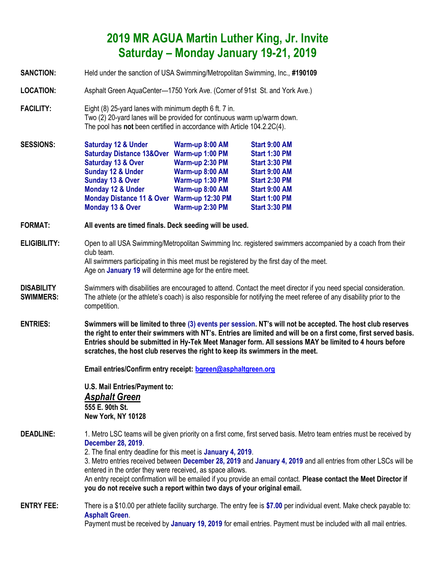## 2019 MR AGUA Martin Luther King, Jr. Invite Saturday – Monday January 19-21, 2019

SANCTION: Held under the sanction of USA Swimming/Metropolitan Swimming, Inc., #190109

LOCATION: Asphalt Green AquaCenter—1750 York Ave. (Corner of 91st St. and York Ave.) FACILITY: Eight (8) 25-yard lanes with minimum depth 6 ft. 7 in. Two (2) 20-yard lanes will be provided for continuous warm up/warm down. The pool has not been certified in accordance with Article 104.2.2C(4). SESSIONS: Saturday 12 & Under Warm-up 8:00 AM Start 9:00 AM Saturday Distance 13&Over Warm-up 1:00 PM Start 1:30 PM Saturday 13 & Over Warm-up 2:30 PM Start 3:30 PM Sunday 12 & Under Warm-up 8:00 AM Start 9:00 AM Sunday 13 & Over Warm-up 1:30 PM Start 2:30 PM Monday 12 & Under Warm-up 8:00 AM Start 9:00 AM Monday Distance 11 & Over Warm-up 12:30 PM Start 1:00 PM Monday 13 & Over Warm-up 2:30 PM Start 3:30 PM FORMAT: All events are timed finals. Deck seeding will be used. ELIGIBILITY: Open to all USA Swimming/Metropolitan Swimming Inc. registered swimmers accompanied by a coach from their club team. All swimmers participating in this meet must be registered by the first day of the meet. Age on **January 19** will determine age for the entire meet. DISABILITY Swimmers with disabilities are encouraged to attend. Contact the meet director if you need special consideration. **SWIMMERS:** The athlete (or the athlete's coach) is also responsible for notifying the meet referee of any disability prior to the competition. ENTRIES: Swimmers will be limited to three (3) events per session. NT's will not be accepted. The host club reserves the right to enter their swimmers with NT's. Entries are limited and will be on a first come, first served basis. Entries should be submitted in Hy-Tek Meet Manager form. All sessions MAY be limited to 4 hours before scratches, the host club reserves the right to keep its swimmers in the meet. Email entries/Confirm entry receipt: bgreen@asphaltgreen.org U.S. Mail Entries/Payment to: Asphalt Green 555 E. 90th St. New York, NY 10128 DEADLINE: 1. Metro LSC teams will be given priority on a first come, first served basis. Metro team entries must be received by December 28, 2019. 2. The final entry deadline for this meet is January 4, 2019. 3. Metro entries received between December 28, 2019 and January 4, 2019 and all entries from other LSCs will be entered in the order they were received, as space allows. An entry receipt confirmation will be emailed if you provide an email contact. Please contact the Meet Director if you do not receive such a report within two days of your original email. ENTRY FEE: There is a \$10.00 per athlete facility surcharge. The entry fee is \$7.00 per individual event. Make check payable to: Asphalt Green. Payment must be received by January 19, 2019 for email entries. Payment must be included with all mail entries.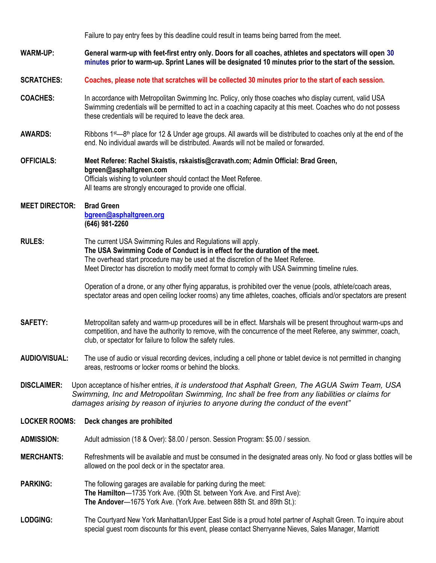Failure to pay entry fees by this deadline could result in teams being barred from the meet.

WARM-UP: General warm-up with feet-first entry only. Doors for all coaches, athletes and spectators will open 30 minutes prior to warm-up. Sprint Lanes will be designated 10 minutes prior to the start of the session.

SCRATCHES: Coaches, please note that scratches will be collected 30 minutes prior to the start of each session.

- COACHES: In accordance with Metropolitan Swimming Inc. Policy, only those coaches who display current, valid USA Swimming credentials will be permitted to act in a coaching capacity at this meet. Coaches who do not possess these credentials will be required to leave the deck area.
- **AWARDS:** Ribbons 1<sup>st—8th</sup> place for 12 & Under age groups. All awards will be distributed to coaches only at the end of the end. No individual awards will be distributed. Awards will not be mailed or forwarded.
- OFFICIALS: Meet Referee: Rachel Skaistis, rskaistis@cravath.com; Admin Official: Brad Green, bgreen@asphaltgreen.com Officials wishing to volunteer should contact the Meet Referee. All teams are strongly encouraged to provide one official.

#### MEET DIRECTOR: Brad Green bgreen@asphaltgreen.org (646) 981-2260

#### RULES: The current USA Swimming Rules and Regulations will apply. The USA Swimming Code of Conduct is in effect for the duration of the meet. The overhead start procedure may be used at the discretion of the Meet Referee. Meet Director has discretion to modify meet format to comply with USA Swimming timeline rules.

 Operation of a drone, or any other flying apparatus, is prohibited over the venue (pools, athlete/coach areas, spectator areas and open ceiling locker rooms) any time athletes, coaches, officials and/or spectators are present

SAFETY: Metropolitan safety and warm-up procedures will be in effect. Marshals will be present throughout warm-ups and competition, and have the authority to remove, with the concurrence of the meet Referee, any swimmer, coach, club, or spectator for failure to follow the safety rules.

AUDIO/VISUAL: The use of audio or visual recording devices, including a cell phone or tablet device is not permitted in changing areas, restrooms or locker rooms or behind the blocks.

DISCLAIMER: Upon acceptance of his/her entries, it is understood that Asphalt Green, The AGUA Swim Team, USA Swimming, Inc and Metropolitan Swimming, Inc shall be free from any liabilities or claims for damages arising by reason of injuries to anyone during the conduct of the event"

LOCKER ROOMS: Deck changes are prohibited

ADMISSION: Adult admission (18 & Over): \$8.00 / person. Session Program: \$5.00 / session.

MERCHANTS: Refreshments will be available and must be consumed in the designated areas only. No food or glass bottles will be allowed on the pool deck or in the spectator area.

- **PARKING:** The following garages are available for parking during the meet: The Hamilton—1735 York Ave. (90th St. between York Ave. and First Ave): The Andover—1675 York Ave. (York Ave. between 88th St. and 89th St.):
- LODGING: The Courtyard New York Manhattan/Upper East Side is a proud hotel partner of Asphalt Green. To inquire about special guest room discounts for this event, please contact Sherryanne Nieves, Sales Manager, Marriott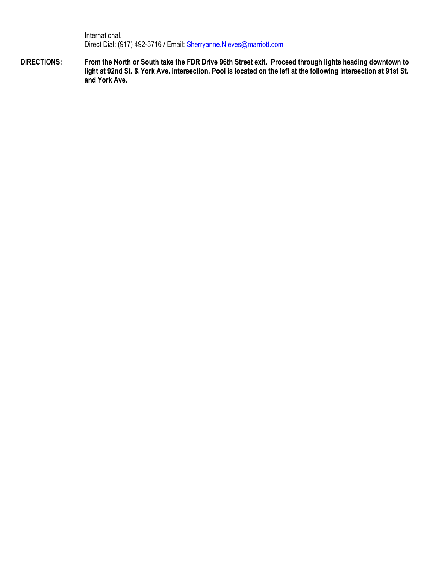International. Direct Dial: (917) 492-3716 / Email: Sherryanne.Nieves@marriott.com

DIRECTIONS: From the North or South take the FDR Drive 96th Street exit. Proceed through lights heading downtown to light at 92nd St. & York Ave. intersection. Pool is located on the left at the following intersection at 91st St. and York Ave.